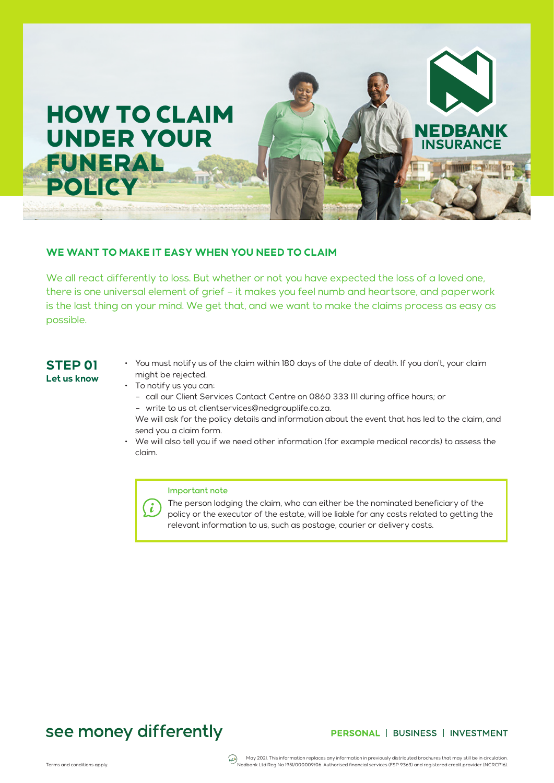

### **WE WANT TO MAKE IT EASY WHEN YOU NEED TO CLAIM**

We all react differently to loss. But whether or not you have expected the loss of a loved one, there is one universal element of grief – it makes you feel numb and heartsore, and paperwork is the last thing on your mind. We get that, and we want to make the claims process as easy as possible.

## **STEP 01 Let us know**

- You must notify us of the claim within 180 days of the date of death. If you don't, your claim might be rejected.
- To notify us you can:
	- call our Client Services Contact Centre on 0860 333 111 during office hours; or – write to us at clientservices@nedgrouplife.co.za.
	- We will ask for the policy details and information about the event that has led to the claim, and send you a claim form.
- We will also tell you if we need other information (for example medical records) to assess the claim.

### Important note

The person lodging the claim, who can either be the nominated beneficiary of the  $\binom{3}{2}$ policy or the executor of the estate, will be liable for any costs related to getting the relevant information to us, such as postage, courier or delivery costs.

# see money differently

### PERSONAL | BUSINESS | INVESTMENT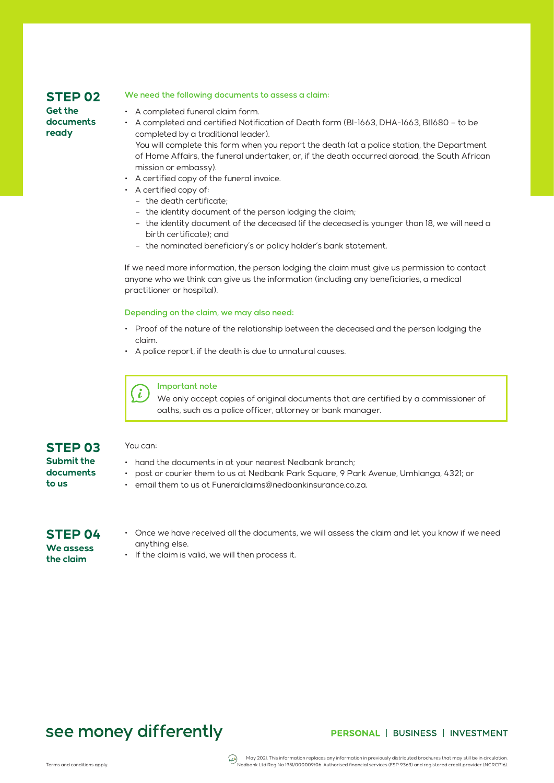# **STEP 02**

### **Get the documents ready**

### We need the following documents to assess a claim:

- A completed funeral claim form.
- A completed and certified Notification of Death form (BI-1663, DHA-1663, BI1680 to be completed by a traditional leader).

You will complete this form when you report the death (at a police station, the Department of Home Affairs, the funeral undertaker, or, if the death occurred abroad, the South African mission or embassy).

- A certified copy of the funeral invoice.
- A certified copy of:
	- the death certificate;
	- the identity document of the person lodging the claim;
	- the identity document of the deceased (if the deceased is younger than 18, we will need a birth certificate); and
	- the nominated beneficiary's or policy holder's bank statement.

If we need more information, the person lodging the claim must give us permission to contact anyone who we think can give us the information (including any beneficiaries, a medical practitioner or hospital).

#### Depending on the claim, we may also need:

- Proof of the nature of the relationship between the deceased and the person lodging the claim.
- A police report, if the death is due to unnatural causes.



You can:

#### Important note

We only accept copies of original documents that are certified by a commissioner of oaths, such as a police officer, attorney or bank manager.

## **STEP 03 Submit the**

- hand the documents in at your nearest Nedbank branch;
- post or courier them to us at Nedbank Park Square, 9 Park Avenue, Umhlanga, 4321; or
- email them to us at Funeralclaims@nedbankinsurance.co.za.

# **STEP 04 We assess**

**the claim** 

**documents** 

**to us** 

- Once we have received all the documents, we will assess the claim and let you know if we need anything else.
- If the claim is valid, we will then process it.

# see money differently

### PERSONAL | BUSINESS | INVESTMENT